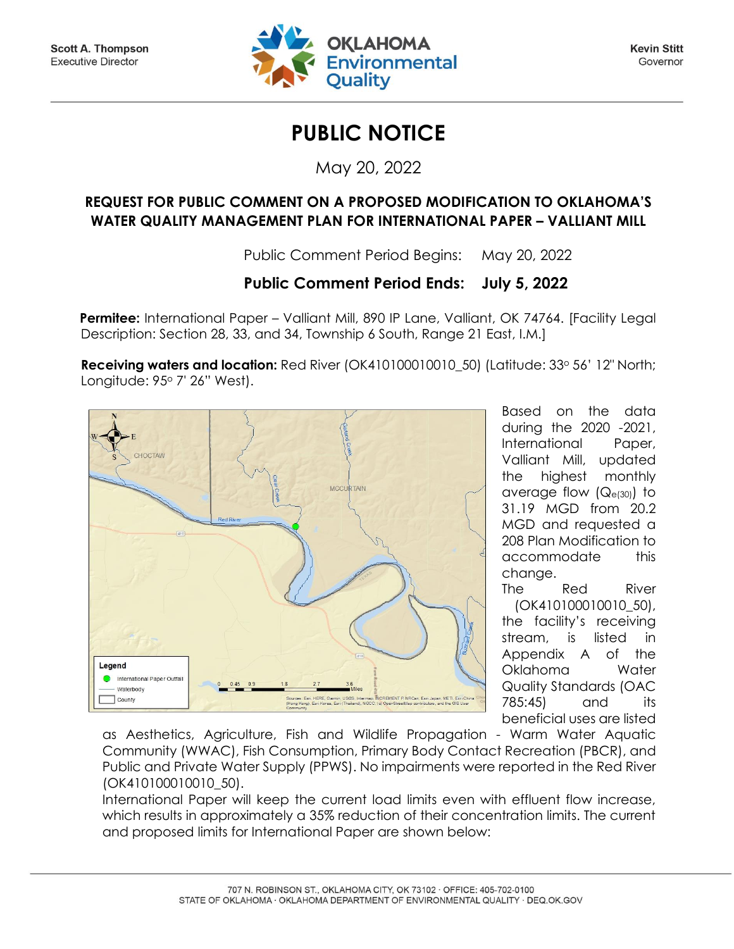

**Kevin Stitt** Governor

## **PUBLIC NOTICE**

May 20, 2022

## **REQUEST FOR PUBLIC COMMENT ON A PROPOSED MODIFICATION TO OKLAHOMA'S WATER QUALITY MANAGEMENT PLAN FOR INTERNATIONAL PAPER – VALLIANT MILL**

Public Comment Period Begins: May 20, 2022

## **Public Comment Period Ends: July 5, 2022**

Permitee: International Paper – Valliant Mill, 890 IP Lane, Valliant, OK 74764. [Facility Legal] Description: Section 28, 33, and 34, Township 6 South, Range 21 East, I.M.]

**Receiving waters and location:** Red River (OK410100010010 50) (Latitude: 33° 56' 12" North; Longitude: 95° 7' 26" West).



Based on the data during the 2020 -2021, International Paper, Valliant Mill, updated the highest monthly average flow (Qe(30)) to 31.19 MGD from 20.2 MGD and requested a 208 Plan Modification to accommodate this change.

The Red River (OK410100010010\_50), the facility's receiving stream, is listed in Appendix A of the Oklahoma Water Quality Standards (OAC 785:45) and its beneficial uses are listed

as Aesthetics, Agriculture, Fish and Wildlife Propagation - Warm Water Aquatic Community (WWAC), Fish Consumption, Primary Body Contact Recreation (PBCR), and Public and Private Water Supply (PPWS). No impairments were reported in the Red River (OK410100010010\_50).

International Paper will keep the current load limits even with effluent flow increase, which results in approximately a 35% reduction of their concentration limits. The current and proposed limits for International Paper are shown below: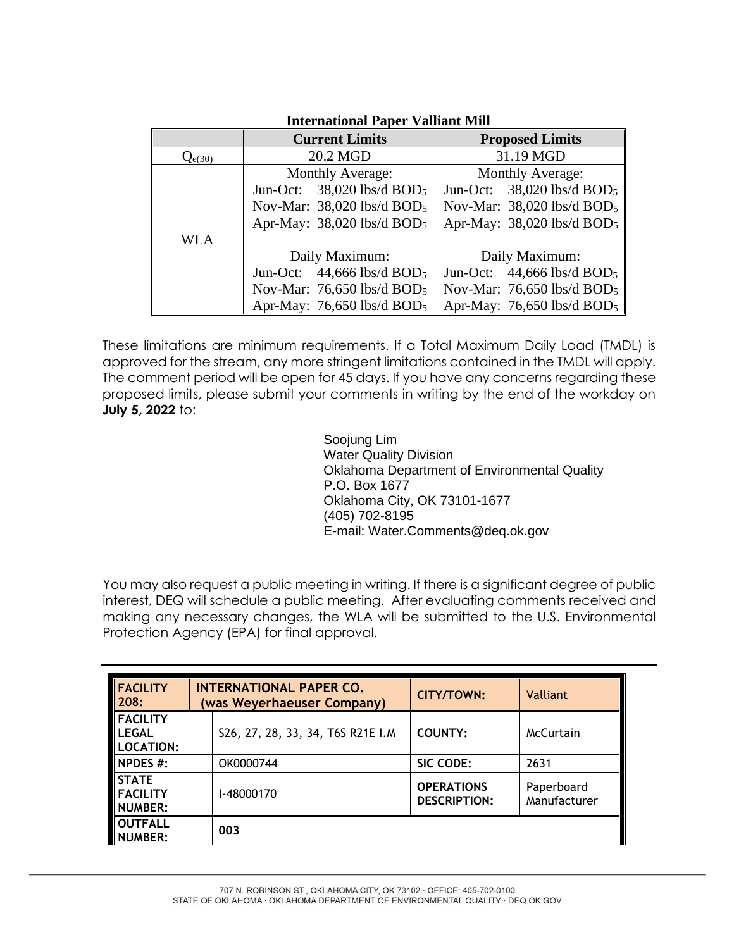|             | <b>Current Limits</b>                    | <b>Proposed Limits</b>                   |  |  |
|-------------|------------------------------------------|------------------------------------------|--|--|
| $Q_{e(30)}$ | 20.2 MGD                                 | 31.19 MGD                                |  |  |
|             | Monthly Average:                         | Monthly Average:                         |  |  |
|             | Jun-Oct: $38,020$ lbs/d BOD <sub>5</sub> | Jun-Oct: $38,020$ lbs/d BOD <sub>5</sub> |  |  |
|             | Nov-Mar: 38,020 lbs/d BOD <sub>5</sub>   | Nov-Mar: 38,020 lbs/d BOD <sub>5</sub>   |  |  |
|             | Apr-May: 38,020 lbs/d BOD <sub>5</sub>   | Apr-May: 38,020 lbs/d BOD <sub>5</sub>   |  |  |
| <b>WLA</b>  |                                          |                                          |  |  |
|             | Daily Maximum:                           | Daily Maximum:                           |  |  |
|             | Jun-Oct: $44,666$ lbs/d BOD <sub>5</sub> | Jun-Oct: $44,666$ lbs/d BOD <sub>5</sub> |  |  |
|             | Nov-Mar: 76,650 lbs/d BOD <sub>5</sub>   | Nov-Mar: 76,650 lbs/d BOD <sub>5</sub>   |  |  |
|             | Apr-May: $76,650$ lbs/d BOD <sub>5</sub> | Apr-May: $76,650$ lbs/d BOD <sub>5</sub> |  |  |

## **International Paper Valliant Mill**

These limitations are minimum requirements. If a Total Maximum Daily Load (TMDL) is approved for the stream, any more stringent limitations contained in the TMDL will apply. The comment period will be open for 45 days. If you have any concerns regarding these proposed limits, please submit your comments in writing by the end of the workday on **July 5, 2022** to:

> Soojung Lim Water Quality Division Oklahoma Department of Environmental Quality P.O. Box 1677 Oklahoma City, OK 73101-1677 (405) 702-8195 E-mail: Water.Comments@deq.ok.gov

You may also request a public meeting in writing. If there is a significant degree of public interest, DEQ will schedule a public meeting. After evaluating comments received and making any necessary changes, the WLA will be submitted to the U.S. Environmental Protection Agency (EPA) for final approval.

| <b>FACILITY</b><br>208:                        | <b>INTERNATIONAL PAPER CO.</b><br>(was Weyerhaeuser Company) | <b>CITY/TOWN:</b>                        | <b>Valliant</b>            |
|------------------------------------------------|--------------------------------------------------------------|------------------------------------------|----------------------------|
| <b>FACILITY</b><br>l LEGAL<br><b>LOCATION:</b> | S26, 27, 28, 33, 34, T6S R21E I.M                            | <b>COUNTY:</b>                           | McCurtain                  |
| NPDES #:                                       | OK0000744                                                    | SIC CODE:                                | 2631                       |
| <b>STATE</b><br><b>FACILITY</b><br>NUMBER:     | I-48000170                                                   | <b>OPERATIONS</b><br><b>DESCRIPTION:</b> | Paperboard<br>Manufacturer |
| <b>OUTFALL</b><br>NUMBER:                      | 003                                                          |                                          |                            |